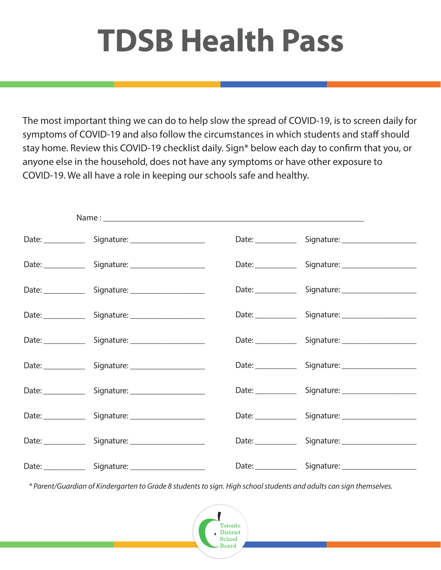# **TDSB Health Pass**

The most important thing we can do to help slow the spread of COVID-19, is to screen daily for symptoms of COVID-19 and also follow the circumstances in which students and staff should stay home. Review this COVID-19 checklist daily. Sign\* below each day to confirm that you, or anyone else in the household, does not have any symptoms or have other exposure to COVID-19. We all have a role in keeping our schools safe and healthy.

|  |                                              |              | Date: Signature: Cambridge Superior Contains |
|--|----------------------------------------------|--------------|----------------------------------------------|
|  | Date: Signature: Charles Contains Container  |              |                                              |
|  | Date: Signature: Charles Cate Strate         |              | Date: Signature: Campbell 2014               |
|  | Date: Signature: Charles Contains Container  |              | Date: Signature: Cambridge Superior Contains |
|  | Date: Signature: Charles Contains Container  |              | Date: Signature: Cambridge Supplem           |
|  | Date: Signature: Charles Contains Containers |              | Date: Signature: Campbell 2014               |
|  | Date: Signature: Charles Contains Container  |              | Date: Signature: Cambridge Superior Contains |
|  | Date: Signature: Charles Cate Strate         |              | Date: Signature: Campbell 2014               |
|  | Date: Signature: Charles Cate Strate         |              |                                              |
|  | Date: Signature: Charles Contains Container  | Date: $\_\_$ |                                              |

*\* Parent/Guardian of Kindergarten to Grade 8 students to sign. High school students and adults can sign themselves.*

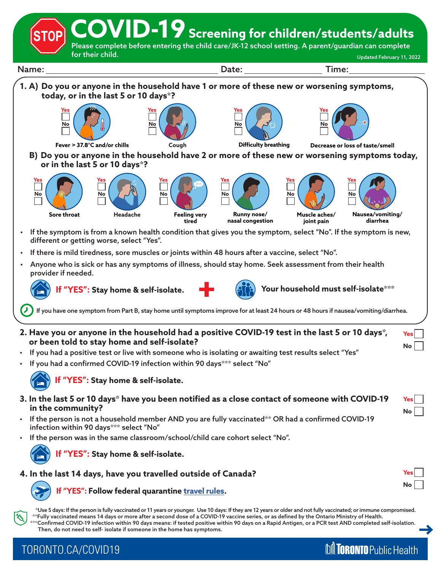**COVID-19 Screening for children/students/adults**

Please complete before entering the child care/JK-12 school setting. A parent/guardian can complete



\*\*\*Confirmed COVID-19 infection within 90 days means: if tested positive within 90 days on a Rapid Antigen, or a PCR test AND completed self-isolation. Then, do not need to self- isolate if someone in the home has symptoms.